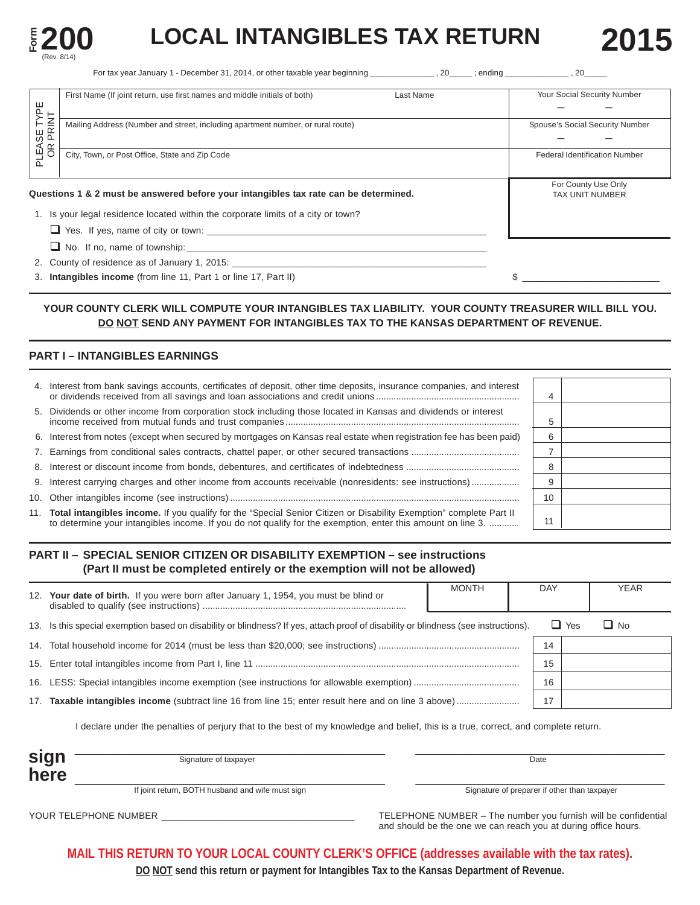

# **EXAMPLE 200** LOCAL INTANGIBLES TAX RETURN 2015

For tax year January 1 - December 31, 2014, or other taxable year beginning exact on the same reding that the state of the state of the state of the state of the state of the state of the state of the state of the state of

|                     | First Name (If joint return, use first names and middle initials of both)            | Last Name | Your Social Security Number          |  |
|---------------------|--------------------------------------------------------------------------------------|-----------|--------------------------------------|--|
| $\frac{d}{dt}$      |                                                                                      |           |                                      |  |
| っ                   | Mailing Address (Number and street, including apartment number, or rural route)      |           | Spouse's Social Security Number      |  |
| LEASE T'<br>OR PRIN |                                                                                      |           |                                      |  |
|                     | City, Town, or Post Office, State and Zip Code                                       |           | <b>Federal Identification Number</b> |  |
|                     |                                                                                      |           |                                      |  |
|                     |                                                                                      |           | For County Use Only                  |  |
|                     | Questions 1 & 2 must be answered before your intangibles tax rate can be determined. |           | <b>TAX UNIT NUMBER</b>               |  |
|                     | 1. Is your legal residence located within the corporate limits of a city or town?    |           |                                      |  |
|                     | Yes. If yes, name of city or town:                                                   |           |                                      |  |

 $\Box$  No. If no, name of township:

2. County of residence as of January 1, 2015:

3. **Intangibles income** (from line 11, Part 1 or line 17, Part II)  $\frac{1}{2}$  **\$** 

## **YOUR COUNTY CLERK WILL COMPUTE YOUR INTANGIBLES TAX LIABILITY. YOUR COUNTY TREASURER WILL BILL YOU. DO NOT SEND ANY PAYMENT FOR INTANGIBLES TAX TO THE KANSAS DEPARTMENT OF REVENUE.**

# **PART I – INTANGIBLES EARNINGS**

| 4. Interest from bank savings accounts, certificates of deposit, other time deposits, insurance companies, and interest                                                                                                               | 4  |  |
|---------------------------------------------------------------------------------------------------------------------------------------------------------------------------------------------------------------------------------------|----|--|
| 5. Dividends or other income from corporation stock including those located in Kansas and dividends or interest                                                                                                                       |    |  |
| 6. Interest from notes (except when secured by mortgages on Kansas real estate when registration fee has been paid)                                                                                                                   |    |  |
|                                                                                                                                                                                                                                       |    |  |
|                                                                                                                                                                                                                                       | 8  |  |
|                                                                                                                                                                                                                                       |    |  |
|                                                                                                                                                                                                                                       | 10 |  |
| 11. Total intangibles income. If you qualify for the "Special Senior Citizen or Disability Exemption" complete Part II<br>to determine your intangibles income. If you do not qualify for the exemption, enter this amount on line 3. | 11 |  |

# **PART II – SPECIAL SENIOR CITIZEN OR DISABILITY EXEMPTION – see instructions (Part II must be completed entirely or the exemption will not be allowed)**

| 12. | Your date of birth. If you were born after January 1, 1954, you must be blind or                                                | <b>MONTH</b> | DAY |            | <b>YEAR</b> |
|-----|---------------------------------------------------------------------------------------------------------------------------------|--------------|-----|------------|-------------|
| 13. | Is this special exemption based on disability or blindness? If yes, attach proof of disability or blindness (see instructions). |              |     | $\Box$ Yes | $\Box$ No   |
|     |                                                                                                                                 |              | 14  |            |             |
|     |                                                                                                                                 |              | 15  |            |             |
|     |                                                                                                                                 |              | 16  |            |             |
| 17. |                                                                                                                                 |              | 17  |            |             |
|     |                                                                                                                                 |              |     |            |             |

I declare under the penalties of perjury that to the best of my knowledge and belief, this is a true, correct, and complete return.

| sign<br>here | Signature of taxpayer                            | Date                                         |
|--------------|--------------------------------------------------|----------------------------------------------|
|              | If joint return, BOTH husband and wife must sign | Signature of preparer if other than taxpayer |

YOUR TELEPHONE NUMBER \_\_\_\_\_\_\_\_\_\_\_\_\_\_\_\_\_\_\_\_\_\_\_\_\_\_\_\_\_\_\_\_\_\_\_\_\_\_ TELEPHONE NUMBER – The number you furnish will be confidential and should be the one we can reach you at during office hours.

**MAIL THIS RETURN TO YOUR LOCAL COUNTY CLERK'S OFFICE (addresses available with the tax rates).** 

**DO NOT send this return or payment for Intangibles Tax to the Kansas Department of Revenue.**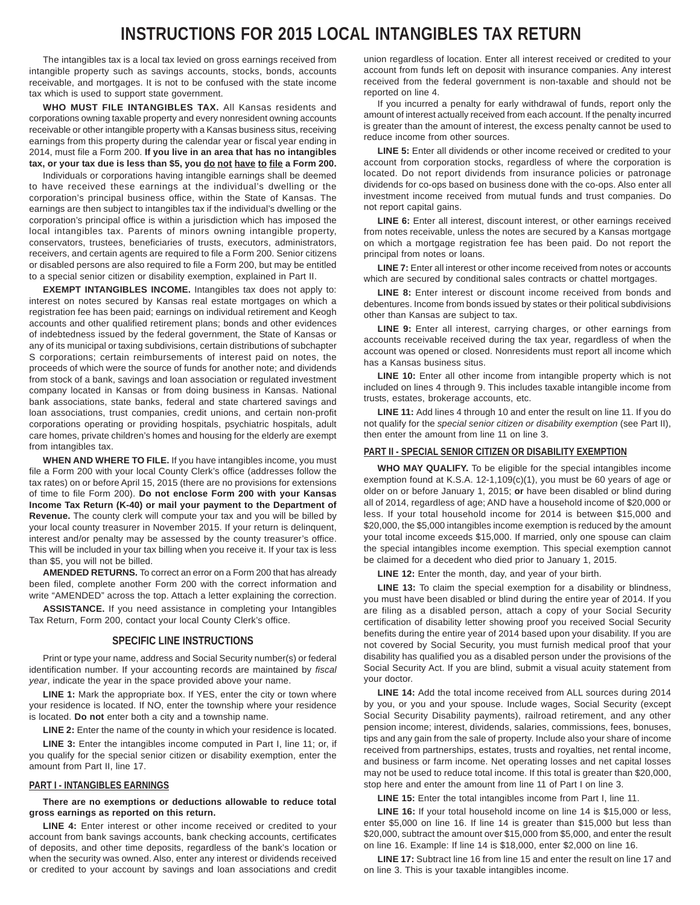# **INSTRUCTIONS FOR 2015 LOCAL INTANGIBLES TAX RETURN**

The intangibles tax is a local tax levied on gross earnings received from intangible property such as savings accounts, stocks, bonds, accounts receivable, and mortgages. It is not to be confused with the state income tax which is used to support state government.

**WHO MUST FILE INTANGIBLES TAX.** All Kansas residents and corporations owning taxable property and every nonresident owning accounts receivable or other intangible property with a Kansas business situs, receiving earnings from this property during the calendar year or fiscal year ending in 2014, must file a Form 200. **If you live in an area that has no intangibles tax, or your tax due is less than \$5, you do not have to file a Form 200.** 

Individuals or corporations having intangible earnings shall be deemed to have received these earnings at the individual's dwelling or the corporation's principal business office, within the State of Kansas. The earnings are then subject to intangibles tax if the individual's dwelling or the corporation's principal office is within a jurisdiction which has imposed the local intangibles tax. Parents of minors owning intangible property, conservators, trustees, beneficiaries of trusts, executors, administrators, receivers, and certain agents are required to file a Form 200. Senior citizens or disabled persons are also required to file a Form 200, but may be entitled to a special senior citizen or disability exemption, explained in Part II.

**EXEMPT INTANGIBLES INCOME.** Intangibles tax does not apply to: interest on notes secured by Kansas real estate mortgages on which a registration fee has been paid; earnings on individual retirement and Keogh accounts and other qualified retirement plans; bonds and other evidences of indebtedness issued by the federal government, the State of Kansas or any of its municipal or taxing subdivisions, certain distributions of subchapter S corporations; certain reimbursements of interest paid on notes, the proceeds of which were the source of funds for another note; and dividends from stock of a bank, savings and loan association or regulated investment company located in Kansas or from doing business in Kansas. National bank associations, state banks, federal and state chartered savings and loan associations, trust companies, credit unions, and certain non-profit corporations operating or providing hospitals, psychiatric hospitals, adult care homes, private children's homes and housing for the elderly are exempt from intangibles tax.

**WHEN AND WHERE TO FILE.** If you have intangibles income, you must file a Form 200 with your local County Clerk's office (addresses follow the tax rates) on or before April 15, 2015 (there are no provisions for extensions of time to file Form 200). **Do not enclose Form 200 with your Kansas Income Tax Return (K-40) or mail your payment to the Department of Revenue.** The county clerk will compute your tax and you will be billed by your local county treasurer in November 2015. If your return is delinquent, interest and/or penalty may be assessed by the county treasurer's office. This will be included in your tax billing when you receive it. If your tax is less than \$5, you will not be billed.

**AMENDED RETURNS.** To correct an error on a Form 200 that has already been filed, complete another Form 200 with the correct information and write "AMENDED" across the top. Attach a letter explaining the correction.

**ASSISTANCE.** If you need assistance in completing your Intangibles Tax Return, Form 200, contact your local County Clerk's office.

### **SPECIFIC LINE INSTRUCTIONS**

Print or type your name, address and Social Security number(s) or federal identification number. If your accounting records are maintained by *fiscal year*, indicate the year in the space provided above your name.

**LINE 1:** Mark the appropriate box. If YES, enter the city or town where your residence is located. If NO, enter the township where your residence is located. **Do not** enter both a city and a township name.

LINE 2: Enter the name of the county in which your residence is located.

LINE 3: Enter the intangibles income computed in Part I, line 11; or, if you qualify for the special senior citizen or disability exemption, enter the amount from Part II, line 17.

### **PART I - INTANGIBLES EARNINGS**

**There are no exemptions or deductions allowable to reduce total gross earnings as reported on this return.** 

LINE 4: Enter interest or other income received or credited to your account from bank savings accounts, bank checking accounts, certificates of deposits, and other time deposits, regardless of the bank's location or when the security was owned. Also, enter any interest or dividends received or credited to your account by savings and loan associations and credit

union regardless of location. Enter all interest received or credited to your account from funds left on deposit with insurance companies. Any interest received from the federal government is non-taxable and should not be reported on line 4.

If you incurred a penalty for early withdrawal of funds, report only the amount of interest actually received from each account. If the penalty incurred is greater than the amount of interest, the excess penalty cannot be used to reduce income from other sources.

LINE 5: Enter all dividends or other income received or credited to your account from corporation stocks, regardless of where the corporation is located. Do not report dividends from insurance policies or patronage dividends for co-ops based on business done with the co-ops. Also enter all investment income received from mutual funds and trust companies. Do not report capital gains.

**LINE 6:** Enter all interest, discount interest, or other earnings received from notes receivable, unless the notes are secured by a Kansas mortgage on which a mortgage registration fee has been paid. Do not report the principal from notes or loans.

**LINE 7:** Enter all interest or other income received from notes or accounts which are secured by conditional sales contracts or chattel mortgages.

**LINE 8:** Enter interest or discount income received from bonds and debentures. Income from bonds issued by states or their political subdivisions other than Kansas are subject to tax.

**LINE 9:** Enter all interest, carrying charges, or other earnings from accounts receivable received during the tax year, regardless of when the account was opened or closed. Nonresidents must report all income which has a Kansas business situs.

LINE 10: Enter all other income from intangible property which is not included on lines 4 through 9. This includes taxable intangible income from trusts, estates, brokerage accounts, etc.

**LINE 11:** Add lines 4 through 10 and enter the result on line 11. If you do not qualify for the *special senior citizen or disability exemption* (see Part II), then enter the amount from line 11 on line 3.

### **PART II - SPECIAL SENIOR CITIZEN OR DISABILITY EXEMPTION**

**WHO MAY QUALIFY.** To be eligible for the special intangibles income exemption found at K.S.A. 12-1,109(c)(1), you must be 60 years of age or older on or before January 1, 2015; **or** have been disabled or blind during all of 2014, regardless of age; AND have a household income of \$20,000 or less. If your total household income for 2014 is between \$15,000 and \$20,000, the \$5,000 intangibles income exemption is reduced by the amount your total income exceeds \$15,000. If married, only one spouse can claim the special intangibles income exemption. This special exemption cannot be claimed for a decedent who died prior to January 1, 2015.

**LINE 12:** Enter the month, day, and year of your birth.

**LINE 13:** To claim the special exemption for a disability or blindness, you must have been disabled or blind during the entire year of 2014. If you are filing as a disabled person, attach a copy of your Social Security certification of disability letter showing proof you received Social Security benefits during the entire year of 2014 based upon your disability. If you are not covered by Social Security, you must furnish medical proof that your disability has qualified you as a disabled person under the provisions of the Social Security Act. If you are blind, submit a visual acuity statement from your doctor.

**LINE 14:** Add the total income received from ALL sources during 2014 by you, or you and your spouse. Include wages, Social Security (except Social Security Disability payments), railroad retirement, and any other pension income; interest, dividends, salaries, commissions, fees, bonuses, tips and any gain from the sale of property. Include also your share of income received from partnerships, estates, trusts and royalties, net rental income, and business or farm income. Net operating losses and net capital losses may not be used to reduce total income. If this total is greater than \$20,000, stop here and enter the amount from line 11 of Part I on line 3.

**LINE 15:** Enter the total intangibles income from Part I, line 11.

**LINE 16:** If your total household income on line 14 is \$15,000 or less, enter \$5,000 on line 16. If line 14 is greater than \$15,000 but less than \$20,000, subtract the amount over \$15,000 from \$5,000, and enter the result on line 16. Example: If line 14 is \$18,000, enter \$2,000 on line 16.

**LINE 17:** Subtract line 16 from line 15 and enter the result on line 17 and on line 3. This is your taxable intangibles income.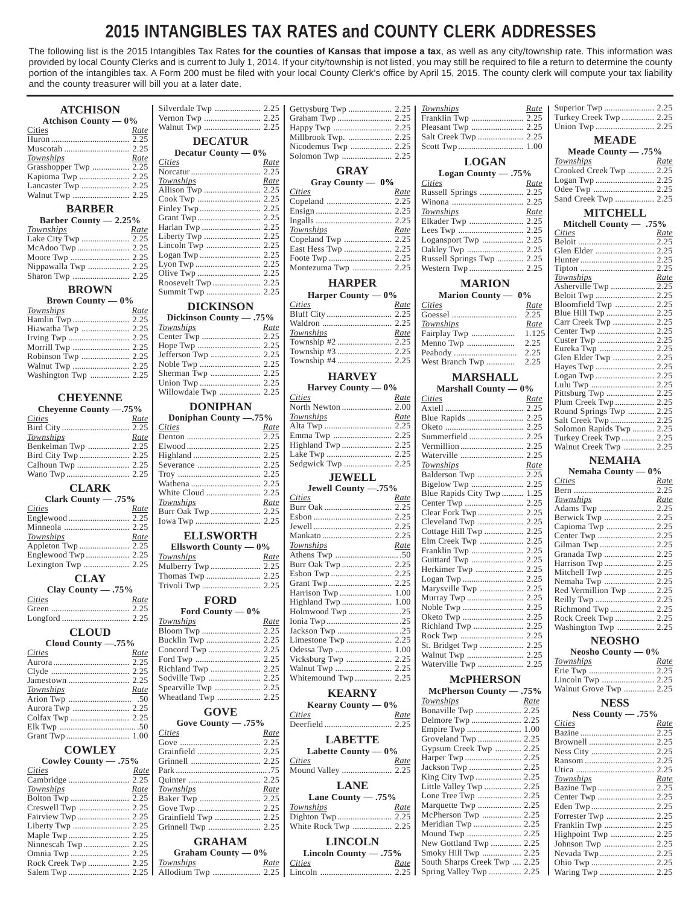# **2015 INTANGIBLES TAX RATES and COUNTY CLERK ADDRESSES**

The following list is the 2015 Intangibles Tax Rates **for the counties of Kansas that impose a tax**, as well as any city/township rate. This information was provided by local County Clerks and is current to July 1, 2014. If your city/township is not listed, you may still be required to file a return to determine the county portion of the intangibles tax. A Form 200 must be filed with your local County Clerk's office by April 15, 2015. The county clerk will compute your tax liability and the county treasurer will bill you at a later date.

| <b>ATCHISON</b>                            |                         |             |                        |             | <b>Townships</b>                               | <u>Rate</u> |                                        |             |
|--------------------------------------------|-------------------------|-------------|------------------------|-------------|------------------------------------------------|-------------|----------------------------------------|-------------|
| Atchison County $-0\%$                     |                         |             |                        |             | Franklin Twp  2.25                             |             | Turkey Creek Twp  2.25                 |             |
| Cities<br>Rate                             |                         |             |                        |             |                                                |             |                                        |             |
|                                            | <b>DECATUR</b>          |             |                        |             |                                                |             | <b>MEADE</b>                           |             |
|                                            | Decatur County — 0%     |             |                        |             |                                                |             | Meade County $-.75%$                   |             |
| Townships<br>Rate<br>Grasshopper Twp  2.25 | Cities                  | Rate        |                        |             | <b>LOGAN</b>                                   |             | Townships                              | <u>Rate</u> |
|                                            |                         |             | <b>GRAY</b>            |             | Logan County $-.75%$                           |             | Crooked Creek Twp  2.25                |             |
| Lancaster Twp  2.25                        | Townships               | Rate        | Gray County — 0%       |             | <i>Cities</i>                                  | <u>Rate</u> |                                        |             |
|                                            |                         |             | Cities                 | Rate        |                                                |             | Sand Creek Twp  2.25                   |             |
| <b>BARBER</b>                              |                         |             |                        |             | Townships                                      | Rate        |                                        |             |
| Barber County $-2.25%$                     |                         |             |                        |             | Elkader Twp  2.25                              |             | <b>MITCHELL</b>                        |             |
| Townships<br>Rate                          |                         |             | Townships              | Rate        |                                                |             | Mitchell County — .75%<br>Cities       | Rate        |
| Lake City Twp  2.25                        |                         |             |                        |             |                                                |             |                                        |             |
|                                            |                         |             | East Hess Twp  2.25    |             |                                                |             |                                        |             |
|                                            |                         |             |                        |             | Russell Springs Twp  2.25                      |             |                                        |             |
| Nippawalla Twp  2.25                       |                         |             | Montezuma Twp  2.25    |             |                                                |             |                                        |             |
|                                            |                         |             | <b>HARPER</b>          |             | <b>MARION</b>                                  |             | Townships<br>Asherville Twp  2.25      | Rate        |
| <b>BROWN</b>                               | Summit Twp  2.25        |             | Harper County $-0\%$   |             | Marion County — 0%                             |             | Beloit Twp  2.25                       |             |
| Brown County $-0\%$                        | <b>DICKINSON</b>        |             | <i>Cities</i>          | <u>Rate</u> | <i>Cities</i>                                  | Rate        | Bloomfield Twp  2.25                   |             |
| Townships<br>Rate                          | Dickinson County - .75% |             |                        |             |                                                | 2.25        |                                        |             |
| Hiawatha Twp  2.25                         | Townships               | Rate        |                        |             | Townships                                      | Rate        | Carr Creek Twp  2.25                   |             |
|                                            |                         |             | Townships              | Rate        | Fairplay Twp                                   | 1.125       |                                        |             |
|                                            |                         |             |                        |             |                                                |             |                                        |             |
|                                            | Jefferson Twp  2.25     |             | Township #4  2.25      |             |                                                |             | Glen Elder Twp  2.25                   |             |
| Washington Twp  2.25                       |                         |             |                        |             |                                                |             |                                        |             |
|                                            |                         |             | <b>HARVEY</b>          |             | <b>MARSHALL</b>                                |             |                                        |             |
|                                            | Willowdale Twp  2.25    |             | Harvey County $-0\%$   |             | Marshall County $-0\%$                         |             |                                        |             |
| <b>CHEYENNE</b>                            | <b>DONIPHAN</b>         |             | Cities                 | Rate        | <i>Cities</i>                                  | Rate        |                                        |             |
| Cheyenne County --. 75%                    | Doniphan County -.75%   |             | <b>Townships</b>       | <u>Rate</u> |                                                |             | Round Springs Twp  2.25                |             |
| Cities<br><u>Rate</u>                      | Cities                  | Rate        |                        |             |                                                |             | Solomon Rapids Twp  2.25               |             |
| Rate<br>Townships                          |                         |             |                        |             |                                                |             | Turkey Creek Twp  2.25                 |             |
| Benkelman Twp  2.25                        |                         |             |                        |             |                                                |             | Walnut Creek Twp  2.25                 |             |
|                                            |                         |             |                        |             | Waterville  2.25                               |             | <b>NEMAHA</b>                          |             |
|                                            |                         |             |                        |             | <b>Townships</b>                               | Rate        | Nemaha County $-0\%$                   |             |
|                                            |                         |             | <b>JEWELL</b>          |             |                                                |             | Cities                                 | <u>Rate</u> |
| <b>CLARK</b>                               |                         |             | Jewell County -. 75%   |             | Blue Rapids City Twp  1.25                     |             |                                        |             |
| Clark County - .75%                        | Townships               | Rate        | <u>Cities</u>          | Rate        |                                                |             | Townships                              | Rate        |
| <b>Cities</b><br>Rate                      | Burr Oak Twp  2.25      |             |                        |             |                                                |             | Adams Twp  2.25                        |             |
| Minneola  2.25                             |                         |             |                        |             |                                                |             | Berwick Twp  2.25<br>Capioma Twp  2.25 |             |
| Townships<br>Rate                          | <b>ELLSWORTH</b>        |             |                        |             | Cottage Hill Twp  2.25                         |             |                                        |             |
| Appleton Twp  2.25                         | Ellsworth County — 0%   |             | Townships              | Rate        | Elm Creek Twp  2.25                            |             |                                        |             |
|                                            | Townships               | Rate        |                        |             |                                                |             | Granada Twp  2.25                      |             |
|                                            | Mulberry Twp  2.25      |             |                        |             | Guittard Twp  2.25<br>Herkimer Twp  2.25       |             |                                        |             |
| <b>CLAY</b>                                |                         |             |                        |             |                                                |             |                                        |             |
| Clay County - .75%                         |                         |             |                        |             | Marysville Twp  2.25                           |             | Red Vermillion Twp  2.25               |             |
| Cities<br>Rate                             | <b>FORD</b>             |             |                        |             |                                                |             |                                        |             |
| 2.25                                       | Ford County — $0\%$     |             | Holmwood Twp 25        |             |                                                |             |                                        |             |
|                                            | <i>Townships</i>        | <u>Rate</u> |                        |             |                                                |             | Rock Creek Twp  2.25                   |             |
| <b>CLOUD</b>                               |                         |             |                        |             | Richland Twp  2.25                             |             | Washington Twp  2.25                   |             |
| Cloud County -. 75%                        | Bucklin Twp  2.25       |             |                        |             |                                                |             | <b>NEOSHO</b>                          |             |
| <i>Cities</i><br>Rate                      |                         |             |                        |             |                                                |             | Neosho County $-0\%$                   |             |
|                                            |                         |             |                        |             | Waterville Twp  2.25                           |             | <i>Townships</i>                       | Rate        |
|                                            |                         |             | Whitemound Twp 2.25    |             | <b>McPHERSON</b>                               |             |                                        |             |
| Townships<br>Rate                          | Spearville Twp  2.25    |             |                        |             |                                                |             | Walnut Grove Twp  2.25                 |             |
|                                            |                         |             | <b>KEARNY</b>          |             | McPherson County - .75%<br>Townships           | <u>Rate</u> |                                        |             |
|                                            | <b>GOVE</b>             |             | Kearny County $-0\%$   |             | Bonaville Twp  2.25                            |             | <b>NESS</b>                            |             |
|                                            | Gove County - .75%      |             | <b>Cities</b>          | <u>Rate</u> |                                                |             | Ness County $-.75%$<br><b>Cities</b>   |             |
|                                            | <b>Cities</b>           | <u>Rate</u> |                        |             | Empire Twp  1.00                               |             |                                        | Rate        |
|                                            |                         |             | <b>LABETTE</b>         |             | Groveland Twp  2.25                            |             |                                        |             |
| <b>COWLEY</b>                              |                         |             | Labette County $-0\%$  |             | Gypsum Creek Twp  2.25                         |             |                                        |             |
| Cowley County - .75%                       |                         |             | Cities                 | Rate        | Harper Twp  2.25                               |             |                                        |             |
| <i>Cities</i><br><u>Rate</u>               |                         |             | Mound Valley  2.25     |             | King City Twp  2.25                            |             |                                        |             |
|                                            |                         |             | <b>LANE</b>            |             | Little Valley Twp  2.25                        |             | Townships                              | Rate        |
| Townships<br>Rate                          | Townships               | <u>Rate</u> | Lane County $-.75%$    |             |                                                |             |                                        |             |
|                                            |                         |             | Townships              | Rate        |                                                |             |                                        |             |
|                                            | Grainfield Twp  2.25    |             |                        |             | McPherson Twp  2.25                            |             |                                        |             |
|                                            |                         |             | White Rock Twp  2.25   |             | Meridian Twp  2.25                             |             | Franklin Twp  2.25                     |             |
|                                            | <b>GRAHAM</b>           |             | <b>LINCOLN</b>         |             |                                                |             | Highpoint Twp  2.25                    |             |
|                                            | Graham County $-0\%$    |             | Lincoln County $-.75%$ |             | New Gottland Twp  2.25<br>Smoky Hill Twp  2.25 |             | Johnson Twp  2.25                      |             |
|                                            | Townships               | <u>Rate</u> | <b>Cities</b>          | Rate        | South Sharps Creek Twp  2.25                   |             |                                        |             |
|                                            |                         |             |                        |             | Spring Valley Twp  2.25                        |             |                                        |             |
|                                            |                         |             |                        |             |                                                |             |                                        |             |